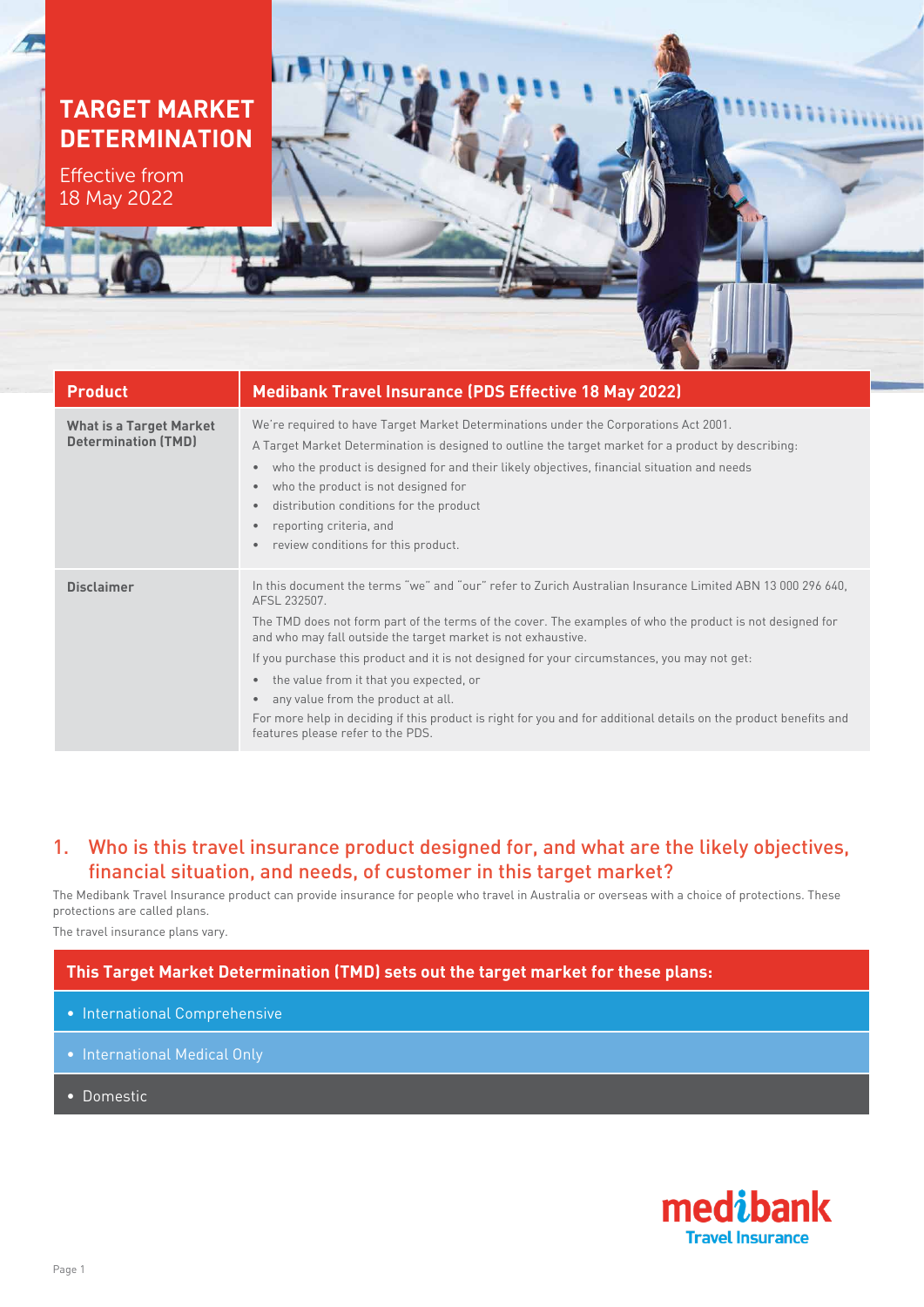## **TARGET MARKET DETERMINATION**

Effective from 18 May 2022

| <b>Product</b>                                               | <b>Medibank Travel Insurance (PDS Effective 18 May 2022)</b>                                                                                                                                                                                                                                                                                                                                                                                                                                                                                                                                                                                                                  |  |  |
|--------------------------------------------------------------|-------------------------------------------------------------------------------------------------------------------------------------------------------------------------------------------------------------------------------------------------------------------------------------------------------------------------------------------------------------------------------------------------------------------------------------------------------------------------------------------------------------------------------------------------------------------------------------------------------------------------------------------------------------------------------|--|--|
| <b>What is a Target Market</b><br><b>Determination (TMD)</b> | We're required to have Target Market Determinations under the Corporations Act 2001.<br>A Target Market Determination is designed to outline the target market for a product by describing:<br>who the product is designed for and their likely objectives, financial situation and needs<br>$\bullet$<br>who the product is not designed for<br>$\bullet$<br>distribution conditions for the product<br>۰<br>reporting criteria, and<br>$\bullet$<br>review conditions for this product.<br>$\bullet$                                                                                                                                                                        |  |  |
| <b>Disclaimer</b>                                            | In this document the terms "we" and "our" refer to Zurich Australian Insurance Limited ABN 13 000 296 640,<br>AFSL 232507.<br>The TMD does not form part of the terms of the cover. The examples of who the product is not designed for<br>and who may fall outside the target market is not exhaustive.<br>If you purchase this product and it is not designed for your circumstances, you may not get:<br>the value from it that you expected, or<br>$\bullet$<br>any value from the product at all.<br>$\bullet$<br>For more help in deciding if this product is right for you and for additional details on the product benefits and<br>features please refer to the PDS. |  |  |

### 1. Who is this travel insurance product designed for, and what are the likely objectives, financial situation, and needs, of customer in this target market?

The Medibank Travel Insurance product can provide insurance for people who travel in Australia or overseas with a choice of protections. These protections are called plans.

The travel insurance plans vary.

### **This Target Market Determination (TMD) sets out the target market for these plans:**

- International Comprehensive
- International Medical Only
- Domestic

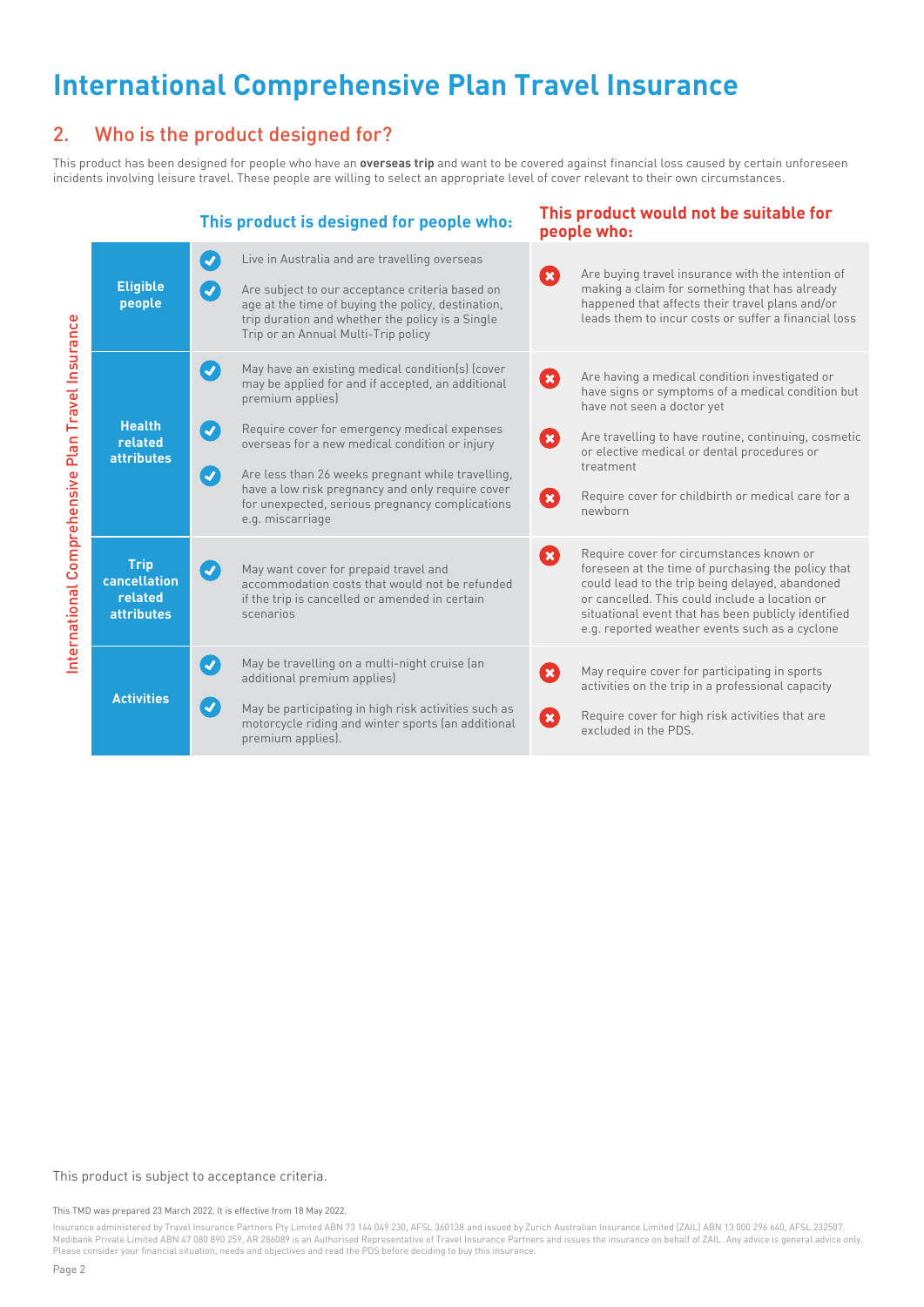# **International Comprehensive Plan Travel Insurance**

### 2. Who is the product designed for?

This product has been designed for people who have an **overseas trip** and want to be covered against financial loss caused by certain unforeseen incidents involving leisure travel. These people are willing to select an appropriate level of cover relevant to their own circumstances.

|  |                                                                    | This product is designed for people who:                                                                                                                                                                                                                                                                                                                                                                                                                                                                      | This product would not be suitable for<br>people who:                                                                                                                                                                                                                                                                                                     |
|--|--------------------------------------------------------------------|---------------------------------------------------------------------------------------------------------------------------------------------------------------------------------------------------------------------------------------------------------------------------------------------------------------------------------------------------------------------------------------------------------------------------------------------------------------------------------------------------------------|-----------------------------------------------------------------------------------------------------------------------------------------------------------------------------------------------------------------------------------------------------------------------------------------------------------------------------------------------------------|
|  | <b>Eligible</b><br>people                                          | $\left( \boldsymbol{J}\right)$<br>Live in Australia and are travelling overseas<br>$\boldsymbol{Q}$<br>Are subject to our acceptance criteria based on<br>age at the time of buying the policy, destination,<br>trip duration and whether the policy is a Single<br>Trip or an Annual Multi-Trip policy                                                                                                                                                                                                       | Are buying travel insurance with the intention of<br>$\boldsymbol{\Omega}$<br>making a claim for something that has already<br>happened that affects their travel plans and/or<br>leads them to incur costs or suffer a financial loss                                                                                                                    |
|  | <b>Health</b><br>related<br><b>attributes</b>                      | $\left( \blacktriangledown \right)$<br>May have an existing medical condition(s) (cover<br>may be applied for and if accepted, an additional<br>premium applies)<br>$\boldsymbol{z}$<br>Require cover for emergency medical expenses<br>overseas for a new medical condition or injury<br>$\left( \blacktriangledown \right)$<br>Are less than 26 weeks pregnant while travelling,<br>have a low risk pregnancy and only require cover<br>for unexpected, serious pregnancy complications<br>e.g. miscarriage | $\boldsymbol{\Omega}$<br>Are having a medical condition investigated or<br>have signs or symptoms of a medical condition but<br>have not seen a doctor yet<br>Are travelling to have routine, continuing, cosmetic<br>Ø<br>or elective medical or dental procedures or<br>treatment<br>Ø<br>Require cover for childbirth or medical care for a<br>newborn |
|  | <b>Trip</b><br><b>cancellation</b><br>related<br><b>attributes</b> | May want cover for prepaid travel and<br>$\left( \bullet \right)$<br>accommodation costs that would not be refunded<br>if the trip is cancelled or amended in certain<br>scenarios                                                                                                                                                                                                                                                                                                                            | Require cover for circumstances known or<br>Ø<br>foreseen at the time of purchasing the policy that<br>could lead to the trip being delayed, abandoned<br>or cancelled. This could include a location or<br>situational event that has been publicly identified<br>e.g. reported weather events such as a cyclone                                         |
|  | <b>Activities</b>                                                  | $\blacktriangledown$<br>May be travelling on a multi-night cruise (an<br>additional premium applies)<br>$\left( \blacktriangledown \right)$<br>May be participating in high risk activities such as<br>motorcycle riding and winter sports (an additional<br>premium applies).                                                                                                                                                                                                                                | Ø<br>May require cover for participating in sports<br>activities on the trip in a professional capacity<br>Ø<br>Require cover for high risk activities that are<br>excluded in the PDS.                                                                                                                                                                   |

#### This product is subject to acceptance criteria.

This TMD was prepared 23 March 2022. It is effective from 18 May 2022.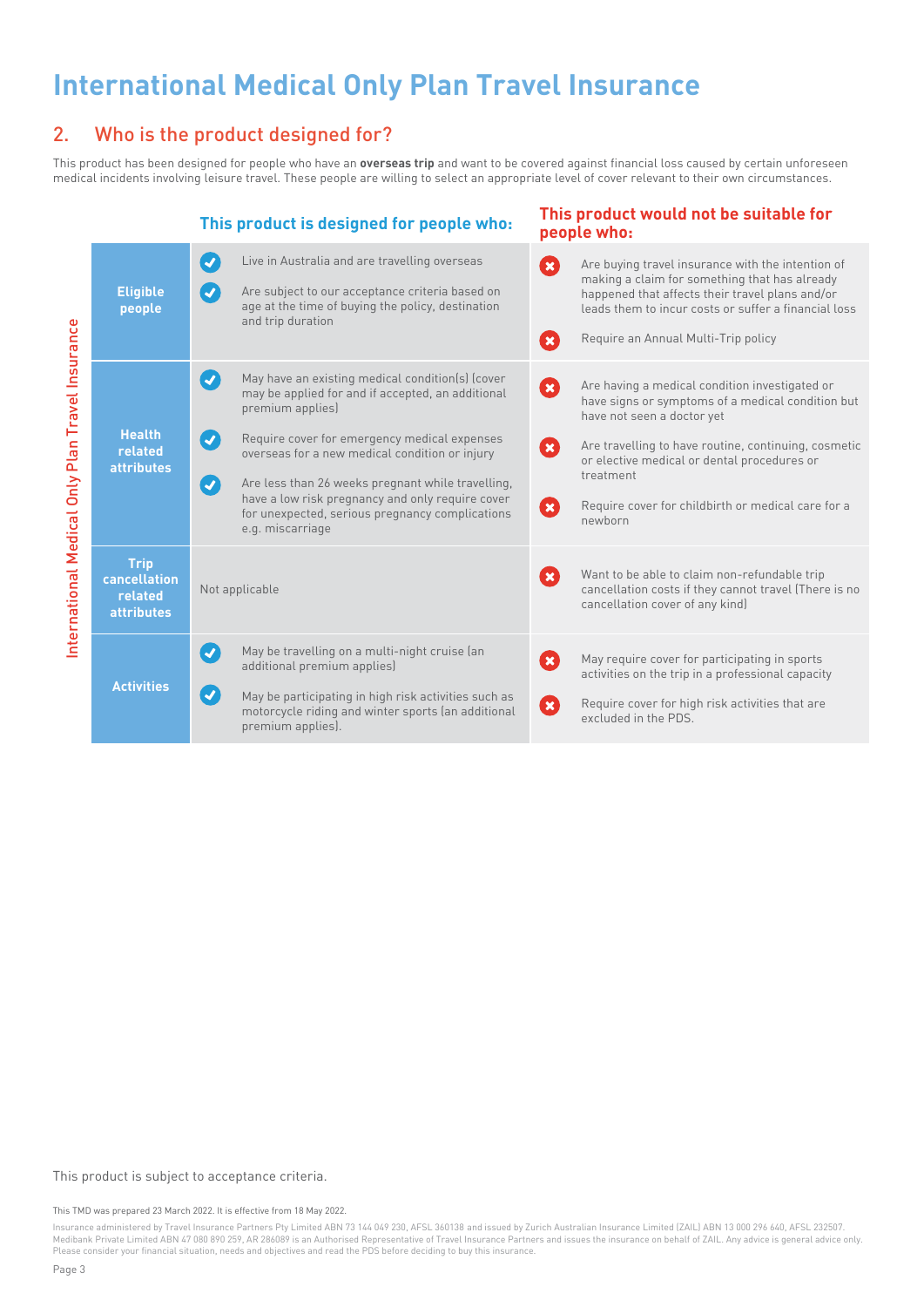# **International Medical Only Plan Travel Insurance**

### 2. Who is the product designed for?

This product has been designed for people who have an **overseas trip** and want to be covered against financial loss caused by certain unforeseen medical incidents involving leisure travel. These people are willing to select an appropriate level of cover relevant to their own circumstances.

|                                                  | This product is designed for people who:                    |                                                                                                                                                                                                                                                                                                                                                                                                                                                                      | This product would not be suitable for<br>people who:                                                                                                                                                                                                                                                                                 |  |
|--------------------------------------------------|-------------------------------------------------------------|----------------------------------------------------------------------------------------------------------------------------------------------------------------------------------------------------------------------------------------------------------------------------------------------------------------------------------------------------------------------------------------------------------------------------------------------------------------------|---------------------------------------------------------------------------------------------------------------------------------------------------------------------------------------------------------------------------------------------------------------------------------------------------------------------------------------|--|
| International Medical Only Plan Travel Insurance | <b>Eligible</b><br>people                                   | Live in Australia and are travelling overseas<br>$\blacktriangledown$<br>$\boldsymbol{v}$<br>Are subject to our acceptance criteria based on<br>age at the time of buying the policy, destination<br>and trip duration                                                                                                                                                                                                                                               | $\mathbf{x}$<br>Are buying travel insurance with the intention of<br>making a claim for something that has already<br>happened that affects their travel plans and/or<br>leads them to incur costs or suffer a financial loss<br>Require an Annual Multi-Trip policy<br>$\mathbf x$                                                   |  |
|                                                  | <b>Health</b><br>related<br><b>attributes</b>               | May have an existing medical condition(s) (cover<br>$\mathcal{L}$<br>may be applied for and if accepted, an additional<br>premium applies)<br>$\boldsymbol{Q}$<br>Require cover for emergency medical expenses<br>overseas for a new medical condition or injury<br>$\boldsymbol{C}$<br>Are less than 26 weeks pregnant while travelling,<br>have a low risk pregnancy and only require cover<br>for unexpected, serious pregnancy complications<br>e.g. miscarriage | Are having a medical condition investigated or<br>Ø<br>have signs or symptoms of a medical condition but<br>have not seen a doctor yet<br>Are travelling to have routine, continuing, cosmetic<br>8<br>or elective medical or dental procedures or<br>treatment<br>Require cover for childbirth or medical care for a<br>Ø<br>newborn |  |
|                                                  | <b>Trip</b><br>cancellation<br>related<br><b>attributes</b> | Not applicable                                                                                                                                                                                                                                                                                                                                                                                                                                                       | Want to be able to claim non-refundable trip<br>Œ<br>cancellation costs if they cannot travel (There is no<br>cancellation cover of any kind)                                                                                                                                                                                         |  |
|                                                  | <b>Activities</b>                                           | May be travelling on a multi-night cruise (an<br>$\blacktriangledown$<br>additional premium applies)<br>$\left  \boldsymbol{\mathcal{J}}\right $<br>May be participating in high risk activities such as<br>motorcycle riding and winter sports (an additional<br>premium applies).                                                                                                                                                                                  | May require cover for participating in sports<br>Ø<br>activities on the trip in a professional capacity<br>Require cover for high risk activities that are<br>$\boldsymbol{\Omega}$<br>excluded in the PDS.                                                                                                                           |  |

#### This product is subject to acceptance criteria.

This TMD was prepared 23 March 2022. It is effective from 18 May 2022.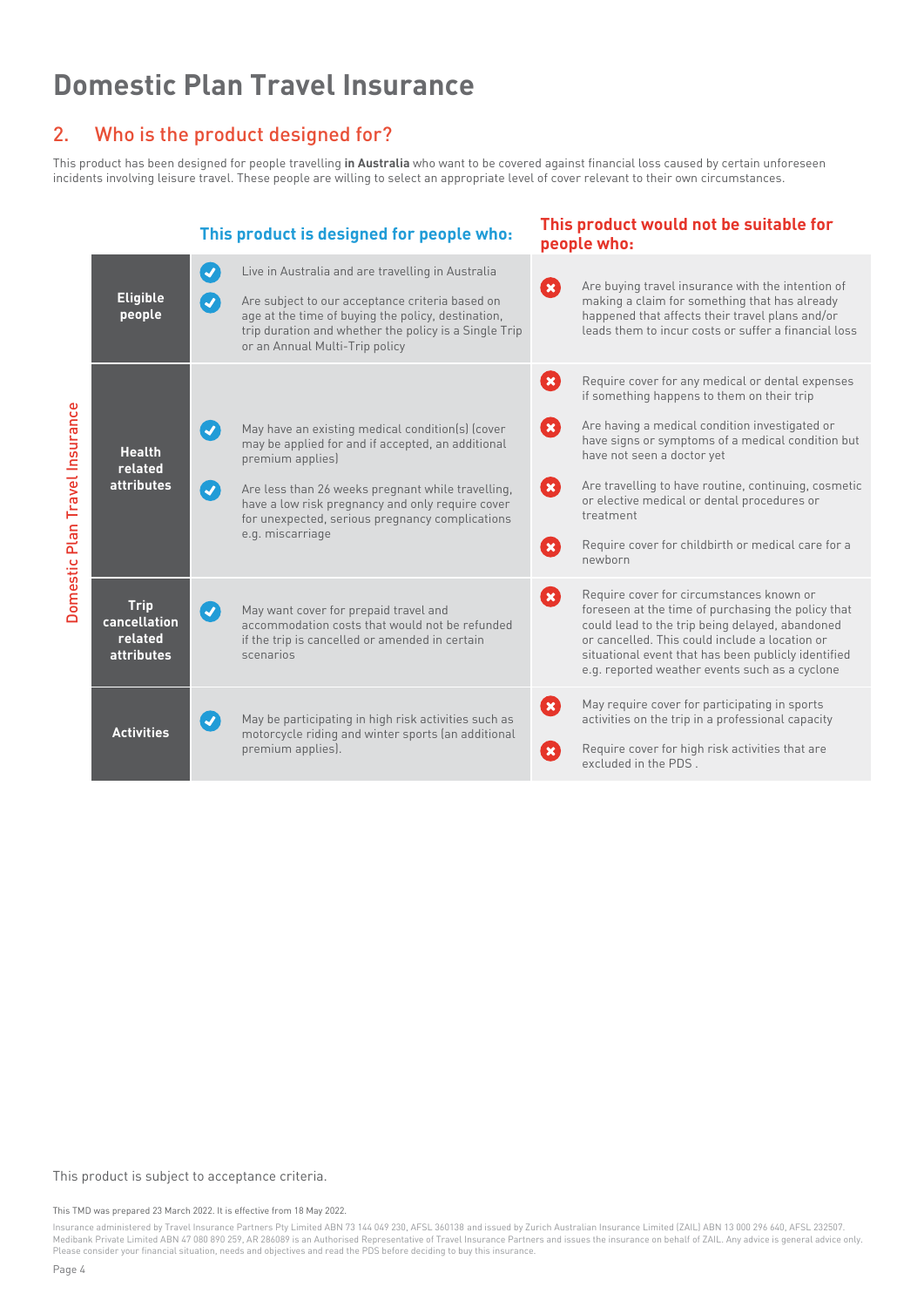# **Domestic Plan Travel Insurance**

### 2. Who is the product designed for?

This product has been designed for people travelling **in Australia** who want to be covered against financial loss caused by certain unforeseen incidents involving leisure travel. These people are willing to select an appropriate level of cover relevant to their own circumstances.

## **This product is designed for people who: This product would not be suitable for**



#### This product is subject to acceptance criteria.

This TMD was prepared 23 March 2022. It is effective from 18 May 2022.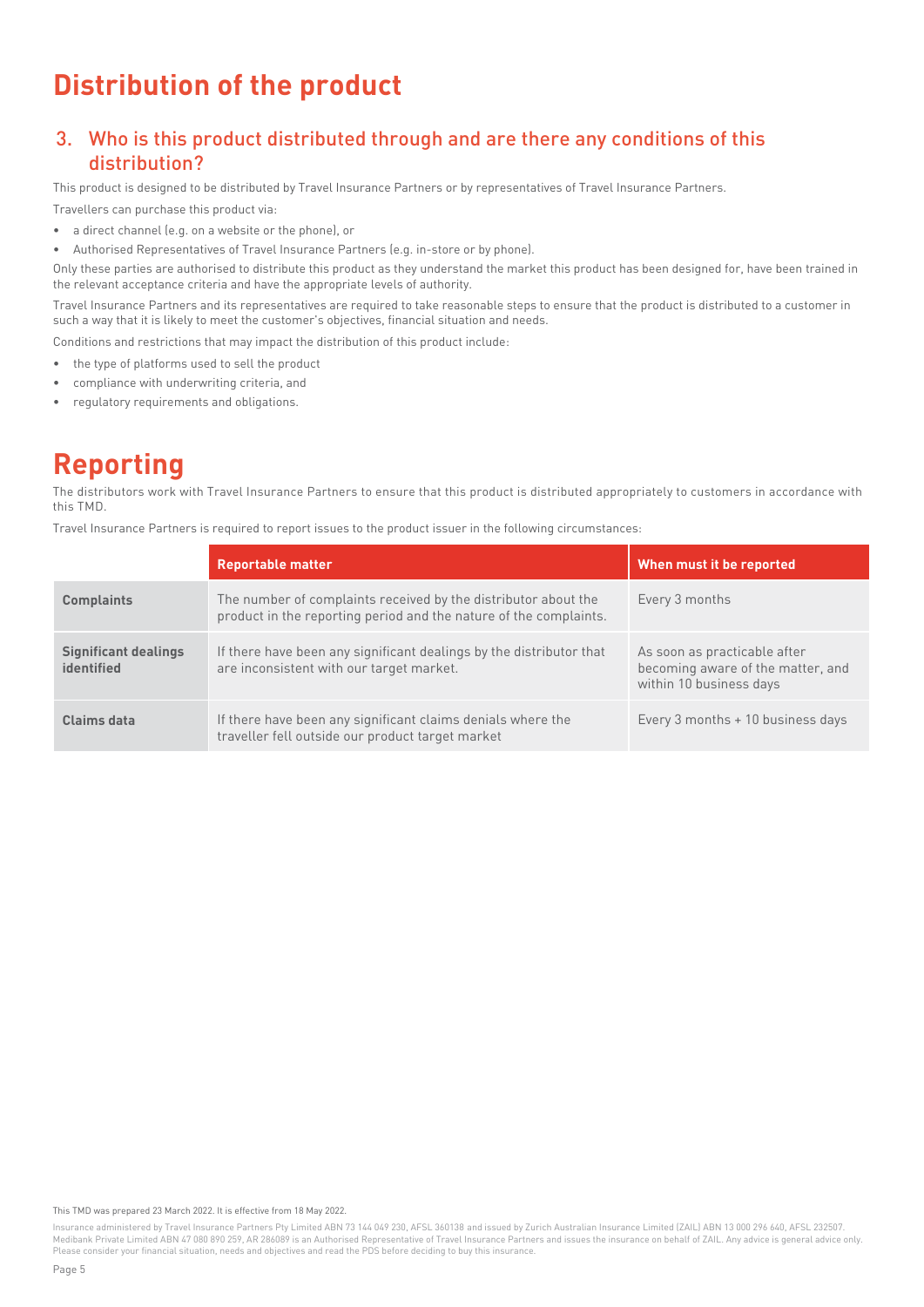# **Distribution of the product**

### 3. Who is this product distributed through and are there any conditions of this distribution?

This product is designed to be distributed by Travel Insurance Partners or by representatives of Travel Insurance Partners.

Travellers can purchase this product via:

- a direct channel (e.g. on a website or the phone), or
- Authorised Representatives of Travel Insurance Partners (e.g. in-store or by phone).

Only these parties are authorised to distribute this product as they understand the market this product has been designed for, have been trained in the relevant acceptance criteria and have the appropriate levels of authority.

Travel Insurance Partners and its representatives are required to take reasonable steps to ensure that the product is distributed to a customer in such a way that it is likely to meet the customer's objectives, financial situation and needs.

Conditions and restrictions that may impact the distribution of this product include:

- the type of platforms used to sell the product
- compliance with underwriting criteria, and
- regulatory requirements and obligations.

# **Reporting**

The distributors work with Travel Insurance Partners to ensure that this product is distributed appropriately to customers in accordance with this TMD.

Travel Insurance Partners is required to report issues to the product issuer in the following circumstances:

|                                           | <b>Reportable matter</b>                                                                                                            | When must it be reported                                                                     |
|-------------------------------------------|-------------------------------------------------------------------------------------------------------------------------------------|----------------------------------------------------------------------------------------------|
| <b>Complaints</b>                         | The number of complaints received by the distributor about the<br>product in the reporting period and the nature of the complaints. | Every 3 months                                                                               |
| <b>Significant dealings</b><br>identified | If there have been any significant dealings by the distributor that<br>are inconsistent with our target market.                     | As soon as practicable after<br>becoming aware of the matter, and<br>within 10 business days |
| Claims data                               | If there have been any significant claims denials where the<br>traveller fell outside our product target market                     | Every 3 months + 10 business days                                                            |

This TMD was prepared 23 March 2022. It is effective from 18 May 2022.